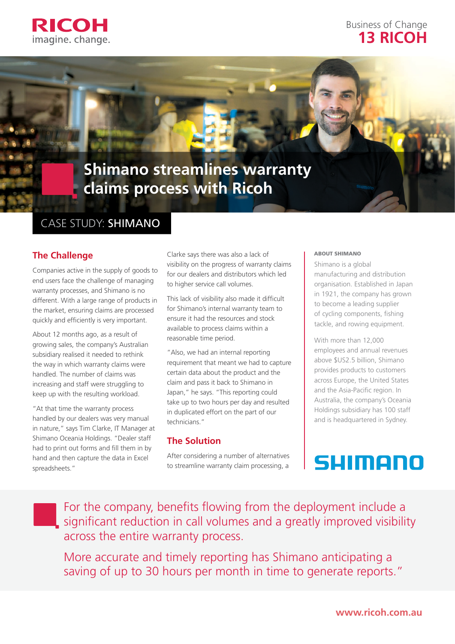

## Business of Change **13 RICOH**

# **Shimano streamlines warranty claims process with Ricoh**

# CASE STUDY: SHIMANO

### **The Challenge**

Companies active in the supply of goods to end users face the challenge of managing warranty processes, and Shimano is no different. With a large range of products in the market, ensuring claims are processed quickly and efficiently is very important.

About 12 months ago, as a result of growing sales, the company's Australian subsidiary realised it needed to rethink the way in which warranty claims were handled. The number of claims was increasing and staff were struggling to keep up with the resulting workload.

"At that time the warranty process handled by our dealers was very manual in nature," says Tim Clarke, IT Manager at Shimano Oceania Holdings. "Dealer staff had to print out forms and fill them in by hand and then capture the data in Excel spreadsheets."

Clarke says there was also a lack of visibility on the progress of warranty claims for our dealers and distributors which led to higher service call volumes.

This lack of visibility also made it difficult for Shimano's internal warranty team to ensure it had the resources and stock available to process claims within a reasonable time period.

"Also, we had an internal reporting requirement that meant we had to capture certain data about the product and the claim and pass it back to Shimano in Japan," he says. "This reporting could take up to two hours per day and resulted in duplicated effort on the part of our technicians."

### **The Solution**

After considering a number of alternatives to streamline warranty claim processing, a

### ABOUT SHIMANO

Shimano is a global manufacturing and distribution organisation. Established in Japan in 1921, the company has grown to become a leading supplier of cycling components, fishing tackle, and rowing equipment.

With more than 12,000 employees and annual revenues above \$US2.5 billion, Shimano provides products to customers across Europe, the United States and the Asia-Pacific region. In Australia, the company's Oceania Holdings subsidiary has 100 staff and is headquartered in Sydney.

# SUIMONN

For the company, benefits flowing from the deployment include a significant reduction in call volumes and a greatly improved visibility across the entire warranty process.

More accurate and timely reporting has Shimano anticipating a saving of up to 30 hours per month in time to generate reports."